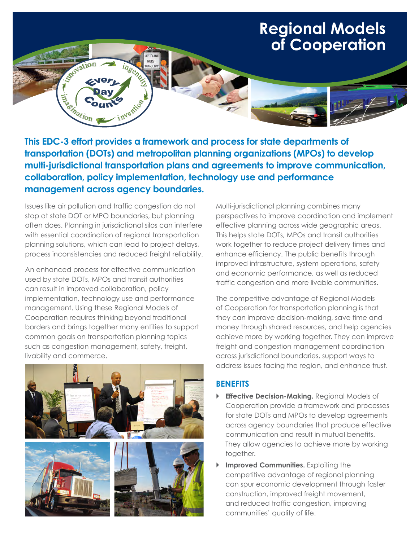## **Regional Models of Cooperation**

**This EDC-3 effort provides a framework and process for state departments of transportation (DOTs) and metropolitan planning organizations (MPOs) to develop multi-jurisdictional transportation plans and agreements to improve communication, collaboration, policy implementation, technology use and performance management across agency boundaries.**

Issues like air pollution and traffic congestion do not stop at state DOT or MPO boundaries, but planning often does. Planning in jurisdictional silos can interfere with essential coordination of regional transportation planning solutions, which can lead to project delays, process inconsistencies and reduced freight reliability.

nvention

vation

**Electric Cc** 

An enhanced process for effective communication used by state DOTs, MPOs and transit authorities can result in improved collaboration, policy implementation, technology use and performance management. Using these Regional Models of Cooperation requires thinking beyond traditional borders and brings together many entities to support common goals on transportation planning topics such as congestion management, safety, freight, livability and commerce.



Multi-jurisdictional planning combines many perspectives to improve coordination and implement effective planning across wide geographic areas. This helps state DOTs, MPOs and transit authorities work together to reduce project delivery times and enhance efficiency. The public benefits through improved infrastructure, system operations, safety and economic performance, as well as reduced traffic congestion and more livable communities.

The competitive advantage of Regional Models of Cooperation for transportation planning is that they can improve decision-making, save time and money through shared resources, and help agencies achieve more by working together. They can improve freight and congestion management coordination across jurisdictional boundaries, support ways to address issues facing the region, and enhance trust.

## **BENEFITS**

- **Effective Decision-Making.** Regional Models of Cooperation provide a framework and processes for state DOTs and MPOs to develop agreements across agency boundaries that produce effective communication and result in mutual benefits. They allow agencies to achieve more by working together.
- ` **Improved Communities.** Exploiting the competitive advantage of regional planning can spur economic development through faster construction, improved freight movement, and reduced traffic congestion, improving communities' quality of life.